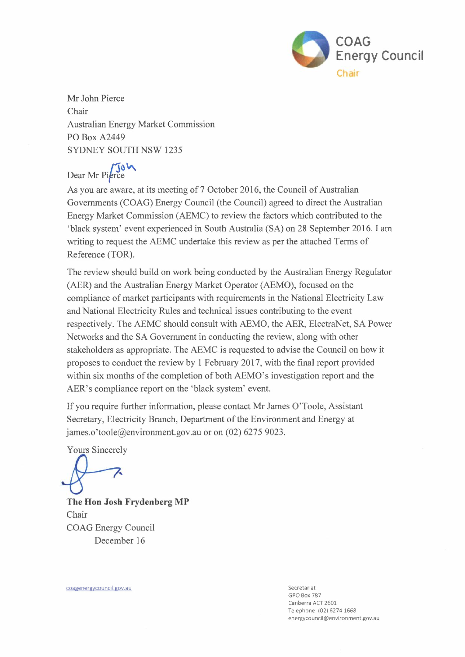

Mr John Pierce Chair Australian Energy Market Commission PO Box A2449 SYDNEY SOUTH NSW 1235

Dear Mr Pierce

As you are aware, at its meeting of 7 October 2016, the Council of Australian Governments (COAG) Energy Council (the Council) agreed to direct the Australian Energy Market Commission (AEMC) to review the factors which contributed to the 'black system' event experienced in South Australia (SA) on 28 September 2016. I am writing to request the AEMC undertake this review as per the attached Terms of Reference (TOR).

The review should build on work being conducted by the Australian Energy Regulator (AER) and the Australian Energy Market Operator (AEMO), focused on the compliance of market participants with requirements in the National Electricity Law and National Electricity Rules and technical issues contributing to the event respectively. The AEMC should consult with AEMO, the AER, ElectraNet, SA Power Networks and the SA Government in conducting the review, along with other stakeholders as appropriate. The AEMC is requested to advise the Council on how it proposes to conduct the review by 1 February 2017, with the final report provided within six months of the completion of both AEMO's investigation report and the AER's compliance report on the 'black system' event.

If you require further information, please contact Mr James O'Toole, Assistant Secretary, Electricity Branch, Department of the Environment and Energy at james.o'toole@environment.gov.au or on (02) 6275 9023.

Yours Sincerely

**The Hon Josh Frydenberg MP**  Chair COAG Energy Council December 16

coagenergycouncil.gov.au Secretariat and Secretariat and Secretariat and Secretariat and Secretariat and Secretariat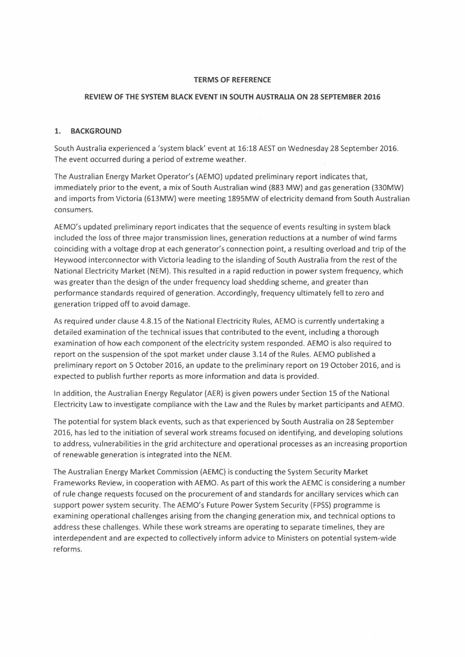#### **TERMS OF REFERENCE**

#### **REVIEW OF THE SYSTEM BLACK EVENT IN SOUTH AUSTRALIA ON 28 SEPTEMBER 2016**

### **1. BACKGROUND**

South Australia experienced a 'system black' event at 16:18 AEST on Wednesday 28 September 2016. The event occurred during a period of extreme weather.

The Australian Energy Market Operator's (AEMO) updated preliminary report indicates that, immediately prior to the event, a mix of South Australian wind (883 MW) and gas generation (330MW) and imports from Victoria (613MW) were meeting 1895MW of electricity demand from South Australian consumers.

AEMO's updated preliminary report indicates that the sequence of events resulting in system black included the loss of three major transmission lines, generation reductions at a number of wind farms coinciding with a voltage drop at each generator's connection point, a resulting overload and trip of the Heywood interconnector with Victoria leading to the islanding of South Australia from the rest of the National Electricity Market (NEM). This resulted in a rapid reduction in power system frequency, which was greater than the design of the under frequency load shedding scheme, and greater than performance standards required of generation. Accordingly, frequency ultimately fell to zero and generation tripped off to avoid damage.

As required under clause 4.8.15 of the National Electricity Rules, AEMO is currently undertaking a detailed examination of the technical issues that contributed to the event, including a thorough examination of how each component of the electricity system responded. AEMO is also required to report on the suspension of the spot market under clause 3.14 of the Rules. AEMO published a preliminary report on 5 October 2016, an update to the preliminary report on 19 October 2016, and is expected to publish further reports as more information and data is provided.

In addition, the Australian Energy Regulator (AER) is given powers under Section 15 of the National Electricity Law to investigate compliance with the Law and the Rules by market participants and AEMO.

The potential for system black events, such as that experienced by South Australia on 28 September 2016, has led to the initiation of several work streams focused on identifying, and developing solutions to address, vulnerabilities in the grid architecture and operational processes as an increasing proportion of renewable generation is integrated into the NEM.

The Australian Energy Market Commission (AEMC) is conducting the System Security Market Frameworks Review, in cooperation with AEMO. As part of this work the AEMC is considering a number of rule change requests focused on the procurement of and standards for ancillary services which can support power system security. The AEMO's Future Power System Security (FPSS) programme is examining operational challenges arising from the changing generation mix, and technical options to address these challenges. While these work streams are operating to separate timellnes, they are interdependent and are expected to collectively inform advice to Ministers on potential system-wide reforms.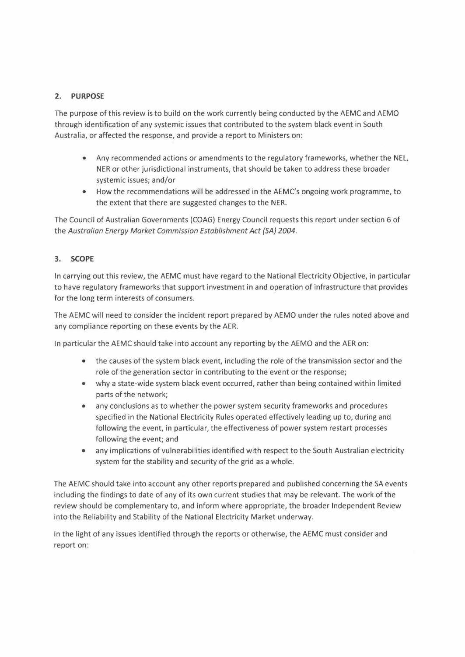## 2. **PURPOSE**

The purpose of this review is to build on the work currently being conducted by the AEMC and AEMO through identification of any systemic issues that contributed to the system black event in South Australia, or affected the response, and provide a report to Ministers on:

- Any recommended actions or amendments to the regulatory frameworks, whether the NEL, NER or other jurisdictional instruments, that should be taken to address these broader systemic issues; and/or
- How the recommendations will be addressed in the AEMC's ongoing work programme, to the extent that there are suggested changes to the NER.

The Council of Australian Governments (COAG) Energy Council requests this report under section 6 of the *Australian Energy Market Commission Establishment Act (SA) 2004.* 

### 3. **SCOPE**

In carrying out this review, the AEMC must have regard to the National Electricity Objective, in particular to have regulatory frameworks that support investment in and operation of infrastructure that provides for the long term interests of consumers.

The AEMC will need to consider the incident report prepared by AEMO under the rules noted above and any compliance reporting on these events by the AER.

In particular the AEMC should take into account any reporting by the AEMO and the AER on:

- the causes of the system black event, including the role of the transmission sector and the role of the generation sector in contributing to the event or the response;
- why a state-wide system black event occurred, rather than being contained within limited parts of the network;
- any conclusions as to whether the power system security frameworks and procedures specified in the National Electricity Rules operated effectively leading up to, during and following the event, in particular, the effectiveness of power system restart processes following the event; and
- any implications of vulnerabilities identified with respect to the South Australian electricity system for the stability and security of the grid as a whole.

The AEMC should take into account any other reports prepared and published concerning the SA events including the findings to date of any of its own current studies that may be relevant. The work of the review should be complementary to, and inform where appropriate, the broader Independent Review into the Reliability and Stability of the National Electricity Market underway.

In the light of any issues identified through the reports or otherwise, the AEMC must consider and report on: